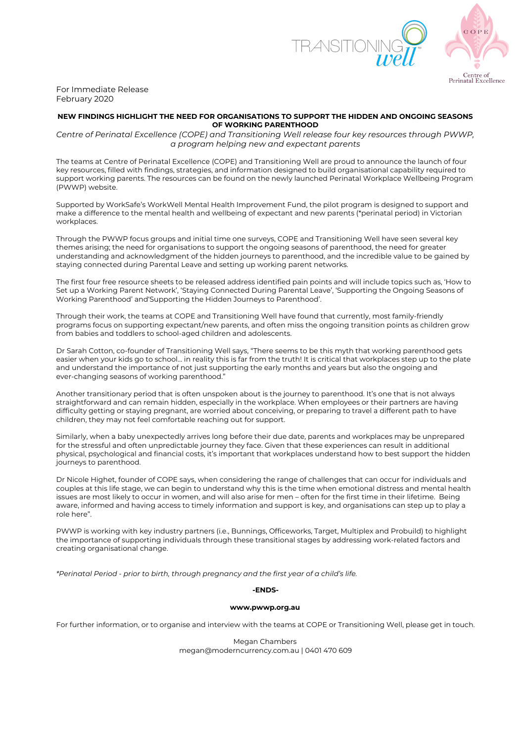

For Immediate Release February 2020

# **NEW FINDINGS HIGHLIGHT THE NEED FOR ORGANISATIONS TO SUPPORT THE HIDDEN AND ONGOING SEASONS OF WORKING PARENTHOOD**

*Centre of Perinatal Excellence (COPE) and Transitioning Well release four key resources through PWWP, a program helping new and expectant parents*

The teams at Centre of Perinatal Excellence (COPE) and Transitioning Well are proud to announce the launch of four key resources, filled with findings, strategies, and information designed to build organisational capability required to support working parents. The resources can be found on the newly launched Perinatal Workplace Wellbeing Program (PWWP) website.

Supported by WorkSafe's WorkWell Mental Health Improvement Fund, the pilot program is designed to support and make a difference to the mental health and wellbeing of expectant and new parents (\*perinatal period) in Victorian workplaces.

Through the PWWP focus groups and initial time one surveys, COPE and Transitioning Well have seen several key themes arising; the need for organisations to support the ongoing seasons of parenthood, the need for greater understanding and acknowledgment of the hidden journeys to parenthood, and the incredible value to be gained by staying connected during Parental Leave and setting up working parent networks.

The first four free resource sheets to be released address identified pain points and will include topics such as, 'How to Set up a Working Parent Network', 'Staying Connected During Parental Leave', 'Supporting the Ongoing Seasons of Working Parenthood' and'Supporting the Hidden Journeys to Parenthood'.

Through their work, the teams at COPE and Transitioning Well have found that currently, most family-friendly programs focus on supporting expectant/new parents, and often miss the ongoing transition points as children grow from babies and toddlers to school-aged children and adolescents.

Dr Sarah Cotton, co-founder of Transitioning Well says, "There seems to be this myth that working parenthood gets easier when your kids go to school... in reality this is far from the truth! It is critical that workplaces step up to the plate and understand the importance of not just supporting the early months and years but also the ongoing and ever-changing seasons of working parenthood."

Another transitionary period that is often unspoken about is the journey to parenthood. It's one that is not always straightforward and can remain hidden, especially in the workplace. When employees or their partners are having difficulty getting or staying pregnant, are worried about conceiving, or preparing to travel a different path to have children, they may not feel comfortable reaching out for support.

Similarly, when a baby unexpectedly arrives long before their due date, parents and workplaces may be unprepared for the stressful and often unpredictable journey they face. Given that these experiences can result in additional physical, psychological and financial costs, it's important that workplaces understand how to best support the hidden journeys to parenthood.

Dr Nicole Highet, founder of COPE says, when considering the range of challenges that can occur for individuals and couples at this life stage, we can begin to understand why this is the time when emotional distress and mental health issues are most likely to occur in women, and will also arise for men – often for the first time in their lifetime. Being aware, informed and having access to timely information and support is key, and organisations can step up to play a role here".

PWWP is working with key industry partners (i.e., Bunnings, Officeworks, Target, Multiplex and Probuild) to highlight the importance of supporting individuals through these transitional stages by addressing work-related factors and creating organisational change.

*\*Perinatal Period - prior to birth, through pregnancy and the first year of a child's life.*

# **-ENDS-**

### **www.pwwp.org.au**

For further information, or to organise and interview with the teams at COPE or Transitioning Well, please get in touch.

Megan Chambers megan@moderncurrency.com.au | 0401 470 609